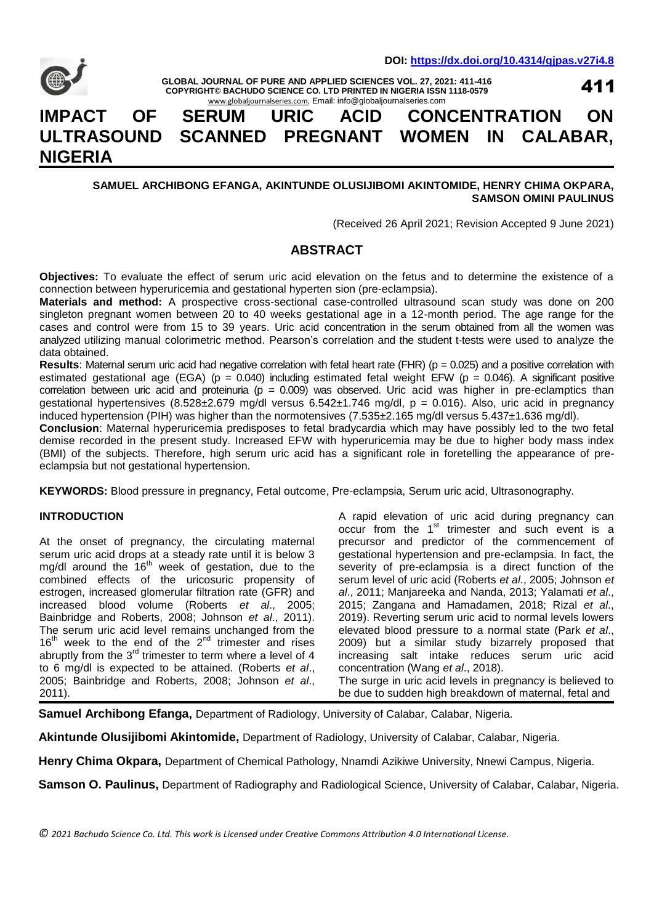

**DOI: https://dx.doi.org/10.4314/gjpas.v27i4.8**

**GLOBAL JOURNAL OF PURE AND APPLIED SCIENCES VOL. 27, 2021: 411-416 COPYRIGHT© BACHUDO SCIENCE CO. LTD PRINTED IN NIGERIA ISSN 1118-0579** www.globaljournalseries.com, Email: info@globaljournalseries.com

411

# **IMPACT OF SERUM URIC ACID CONCENTRATION ON ULTRASOUND SCANNED PREGNANT WOMEN IN CALABAR, NIGERIA**

## **SAMUEL ARCHIBONG EFANGA, AKINTUNDE OLUSIJIBOMI AKINTOMIDE, HENRY CHIMA OKPARA, SAMSON OMINI PAULINUS**

(Received 26 April 2021; Revision Accepted 9 June 2021)

# **ABSTRACT**

**Objectives:** To evaluate the effect of serum uric acid elevation on the fetus and to determine the existence of a connection between hyperuricemia and gestational hyperten sion (pre-eclampsia).

**Materials and method:** A prospective cross-sectional case-controlled ultrasound scan study was done on 200 singleton pregnant women between 20 to 40 weeks gestational age in a 12-month period. The age range for the cases and control were from 15 to 39 years. Uric acid concentration in the serum obtained from all the women was analyzed utilizing manual colorimetric method. Pearson's correlation and the student t-tests were used to analyze the data obtained.

**Results**: Maternal serum uric acid had negative correlation with fetal heart rate (FHR) (p = 0.025) and a positive correlation with estimated gestational age (EGA) ( $p = 0.040$ ) including estimated fetal weight EFW ( $p = 0.046$ ). A significant positive correlation between uric acid and proteinuria ( $p = 0.009$ ) was observed. Uric acid was higher in pre-eclamptics than gestational hypertensives (8.528±2.679 mg/dl versus 6.542±1.746 mg/dl, p = 0.016). Also, uric acid in pregnancy induced hypertension (PIH) was higher than the normotensives (7.535±2.165 mg/dl versus 5.437±1.636 mg/dl).

**Conclusion**: Maternal hyperuricemia predisposes to fetal bradycardia which may have possibly led to the two fetal demise recorded in the present study. Increased EFW with hyperuricemia may be due to higher body mass index (BMI) of the subjects. Therefore, high serum uric acid has a significant role in foretelling the appearance of preeclampsia but not gestational hypertension.

**KEYWORDS:** Blood pressure in pregnancy, Fetal outcome, Pre-eclampsia, Serum uric acid, Ultrasonography.

## **INTRODUCTION**

At the onset of pregnancy, the circulating maternal serum uric acid drops at a steady rate until it is below 3 mg/dl around the  $16<sup>th</sup>$  week of gestation, due to the combined effects of the uricosuric propensity of estrogen, increased glomerular filtration rate (GFR) and increased blood volume (Roberts *et al*., 2005; Bainbridge and Roberts, 2008; Johnson *et al*., 2011). The serum uric acid level remains unchanged from the  $16<sup>th</sup>$  week to the end of the  $2<sup>nd</sup>$  trimester and rises abruptly from the  $3<sup>rd</sup>$  trimester to term where a level of 4 to 6 mg/dl is expected to be attained. (Roberts *et al*., 2005; Bainbridge and Roberts, 2008; Johnson *et al*., 2011).

A rapid elevation of uric acid during pregnancy can  $\overline{\text{occur}}$  from the 1<sup>st</sup> trimester and such event is a precursor and predictor of the commencement of gestational hypertension and pre-eclampsia. In fact, the severity of pre-eclampsia is a direct function of the serum level of uric acid (Roberts *et al*., 2005; Johnson *et al*., 2011; Manjareeka and Nanda, 2013; Yalamati *et al*., 2015; Zangana and Hamadamen, 2018; Rizal *et al*., 2019). Reverting serum uric acid to normal levels lowers elevated blood pressure to a normal state (Park *et al*., 2009) but a similar study bizarrely proposed that increasing salt intake reduces serum uric acid concentration (Wang *et al*., 2018).

The surge in uric acid levels in pregnancy is believed to be due to sudden high breakdown of maternal, fetal and

**Samuel Archibong Efanga,** Department of Radiology, University of Calabar, Calabar, Nigeria.

**Akintunde Olusijibomi Akintomide,** Department of Radiology, University of Calabar, Calabar, Nigeria.

**Henry Chima Okpara,** Department of Chemical Pathology, Nnamdi Azikiwe University, Nnewi Campus, Nigeria.

**Samson O. Paulinus,** Department of Radiography and Radiological Science, University of Calabar, Calabar, Nigeria.

*© 2021 Bachudo Science Co. Ltd. This work is Licensed under Creative Commons Attribution 4.0 International License.*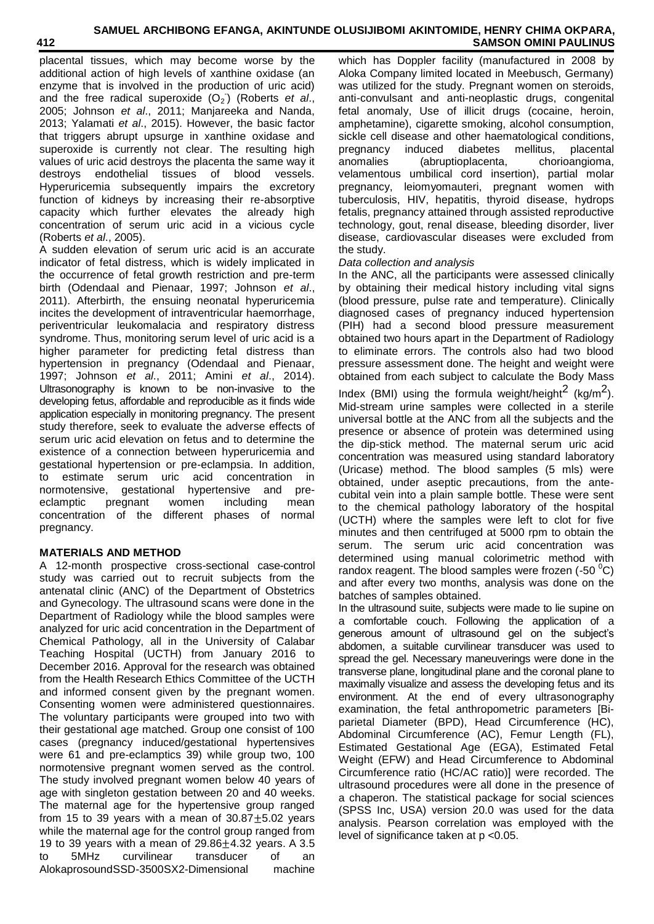# **SAMUEL ARCHIBONG EFANGA, AKINTUNDE OLUSIJIBOMI AKINTOMIDE, HENRY CHIMA OKPARA, 412 SAMSON OMINI PAULINUS**

placental tissues, which may become worse by the additional action of high levels of xanthine oxidase (an enzyme that is involved in the production of uric acid) and the free radical superoxide (O<sub>2</sub>) (Roberts *et al.*, 2005; Johnson *et al*., 2011; Manjareeka and Nanda, 2013; Yalamati *et al*., 2015). However, the basic factor that triggers abrupt upsurge in xanthine oxidase and superoxide is currently not clear. The resulting high values of uric acid destroys the placenta the same way it destroys endothelial tissues of blood vessels. Hyperuricemia subsequently impairs the excretory function of kidneys by increasing their re-absorptive capacity which further elevates the already high concentration of serum uric acid in a vicious cycle (Roberts *et al*., 2005).

A sudden elevation of serum uric acid is an accurate indicator of fetal distress, which is widely implicated in the occurrence of fetal growth restriction and pre-term birth (Odendaal and Pienaar, 1997; Johnson *et al*., 2011). Afterbirth, the ensuing neonatal hyperuricemia incites the development of intraventricular haemorrhage, periventricular leukomalacia and respiratory distress syndrome. Thus, monitoring serum level of uric acid is a higher parameter for predicting fetal distress than hypertension in pregnancy (Odendaal and Pienaar, 1997; Johnson *et al*., 2011; Amini *et al*., 2014). Ultrasonography is known to be non-invasive to the developing fetus, affordable and reproducible as it finds wide application especially in monitoring pregnancy. The present study therefore, seek to evaluate the adverse effects of serum uric acid elevation on fetus and to determine the existence of a connection between hyperuricemia and gestational hypertension or pre-eclampsia. In addition, to estimate serum uric acid concentration in normotensive, gestational hypertensive and preeclamptic pregnant women including mean concentration of the different phases of normal pregnancy.

# **MATERIALS AND METHOD**

A 12-month prospective cross-sectional case-control study was carried out to recruit subjects from the antenatal clinic (ANC) of the Department of Obstetrics and Gynecology. The ultrasound scans were done in the Department of Radiology while the blood samples were analyzed for uric acid concentration in the Department of Chemical Pathology, all in the University of Calabar Teaching Hospital (UCTH) from January 2016 to December 2016. Approval for the research was obtained from the Health Research Ethics Committee of the UCTH and informed consent given by the pregnant women. Consenting women were administered questionnaires. The voluntary participants were grouped into two with their gestational age matched. Group one consist of 100 cases (pregnancy induced/gestational hypertensives were 61 and pre-eclamptics 39) while group two, 100 normotensive pregnant women served as the control. The study involved pregnant women below 40 years of age with singleton gestation between 20 and 40 weeks. The maternal age for the hypertensive group ranged from 15 to 39 years with a mean of  $30.87 \pm 5.02$  years while the maternal age for the control group ranged from 19 to 39 years with a mean of  $29.86 \pm 4.32$  years. A 3.5 to 5MHz curvilinear transducer of an AlokaprosoundSSD-3500SX2-Dimensional machine

which has Doppler facility (manufactured in 2008 by Aloka Company limited located in Meebusch, Germany) was utilized for the study. Pregnant women on steroids, anti-convulsant and anti-neoplastic drugs, congenital fetal anomaly, Use of illicit drugs (cocaine, heroin, amphetamine), cigarette smoking, alcohol consumption, sickle cell disease and other haematological conditions, pregnancy induced diabetes mellitus, placental<br>anomalies (abruptioplacenta, chorioangioma, (abruptioplacenta, chorioangioma, velamentous umbilical cord insertion), partial molar pregnancy, leiomyomauteri, pregnant women with tuberculosis, HIV, hepatitis, thyroid disease, hydrops fetalis, pregnancy attained through assisted reproductive technology, gout, renal disease, bleeding disorder, liver disease, cardiovascular diseases were excluded from the study.

# *Data collection and analysis*

In the ANC, all the participants were assessed clinically by obtaining their medical history including vital signs (blood pressure, pulse rate and temperature). Clinically diagnosed cases of pregnancy induced hypertension (PIH) had a second blood pressure measurement obtained two hours apart in the Department of Radiology to eliminate errors. The controls also had two blood pressure assessment done. The height and weight were obtained from each subject to calculate the Body Mass

Index (BMI) using the formula weight/height<sup>2</sup> (kg/m<sup>2</sup>). Mid-stream urine samples were collected in a sterile universal bottle at the ANC from all the subjects and the presence or absence of protein was determined using the dip-stick method. The maternal serum uric acid concentration was measured using standard laboratory (Uricase) method. The blood samples (5 mls) were obtained, under aseptic precautions, from the antecubital vein into a plain sample bottle. These were sent to the chemical pathology laboratory of the hospital (UCTH) where the samples were left to clot for five minutes and then centrifuged at 5000 rpm to obtain the serum. The serum uric acid concentration was determined using manual colorimetric method with randox reagent. The blood samples were frozen  $(-50<sup>0</sup>C)$ and after every two months, analysis was done on the batches of samples obtained.

In the ultrasound suite, subjects were made to lie supine on a comfortable couch. Following the application of a generous amount of ultrasound gel on the subject's abdomen, a suitable curvilinear transducer was used to spread the gel. Necessary maneuverings were done in the transverse plane, longitudinal plane and the coronal plane to maximally visualize and assess the developing fetus and its environment. At the end of every ultrasonography examination, the fetal anthropometric parameters [Biparietal Diameter (BPD), Head Circumference (HC), Abdominal Circumference (AC), Femur Length (FL), Estimated Gestational Age (EGA), Estimated Fetal Weight (EFW) and Head Circumference to Abdominal Circumference ratio (HC/AC ratio)] were recorded. The ultrasound procedures were all done in the presence of a chaperon. The statistical package for social sciences (SPSS Inc, USA) version 20.0 was used for the data analysis. Pearson correlation was employed with the level of significance taken at p <0.05.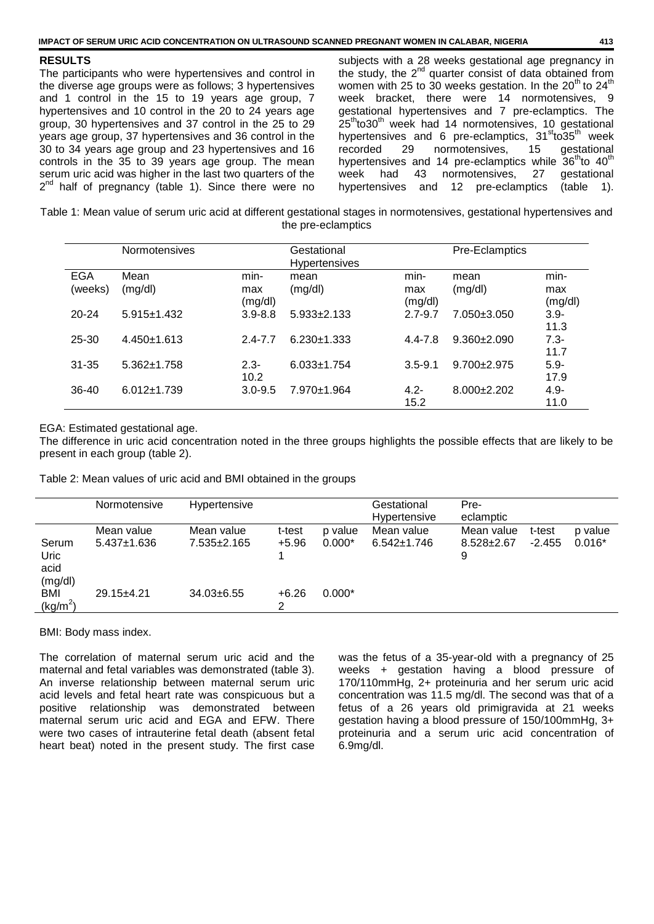#### **RESULTS**

The participants who were hypertensives and control in the diverse age groups were as follows; 3 hypertensives and 1 control in the 15 to 19 years age group, 7 hypertensives and 10 control in the 20 to 24 years age group, 30 hypertensives and 37 control in the 25 to 29 years age group, 37 hypertensives and 36 control in the 30 to 34 years age group and 23 hypertensives and 16 controls in the 35 to 39 years age group. The mean serum uric acid was higher in the last two quarters of the 2<sup>nd</sup> half of pregnancy (table 1). Since there were no subjects with a 28 weeks gestational age pregnancy in the study, the 2<sup>nd</sup> quarter consist of data obtained from women with 25 to 30 weeks gestation. In the  $20<sup>th</sup>$  to  $24<sup>th</sup>$ week bracket, there were 14 normotensives, 9 gestational hypertensives and 7 pre-eclamptics. The  $25<sup>th</sup>$  to 30<sup>th</sup> week had 14 normotensives, 10 gestational hypertensives and 6 pre-eclamptics, 31<sup>st</sup>to35<sup>th</sup> week recorded 29 normotensives, 15 gestational hypertensives and 14 pre-eclamptics while  $36<sup>th</sup>$ to  $40<sup>th</sup>$ week had 43 normotensives, 27 gestational hypertensives and 12 pre-eclamptics (table 1).

Table 1: Mean value of serum uric acid at different gestational stages in normotensives, gestational hypertensives and the pre-eclamptics

|                | Normotensives     |                        | Gestational<br><b>Hypertensives</b> |                        | Pre-Eclamptics    |                        |
|----------------|-------------------|------------------------|-------------------------------------|------------------------|-------------------|------------------------|
| EGA<br>(weeks) | Mean<br>(mg/dl)   | min-<br>max<br>(mg/dl) | mean<br>(mg/dl)                     | min-<br>max<br>(mg/dl) | mean<br>(mg/dl)   | min-<br>max<br>(mg/dl) |
| $20 - 24$      | $5.915 \pm 1.432$ | $3.9 - 8.8$            | $5.933 \pm 2.133$                   | $2.7 - 9.7$            | $7.050 \pm 3.050$ | $3.9 -$<br>11.3        |
| 25-30          | $4.450 + 1.613$   | $2.4 - 7.7$            | $6.230 + 1.333$                     | 4.4-7.8                | $9.360 \pm 2.090$ | $7.3-$<br>11.7         |
| $31 - 35$      | $5.362 \pm 1.758$ | $2.3 -$<br>10.2        | $6.033 \pm 1.754$                   | $3.5 - 9.1$            | $9.700 \pm 2.975$ | $5.9 -$<br>17.9        |
| $36-40$        | $6.012 \pm 1.739$ | $3.0 - 9.5$            | 7.970±1.964                         | $4.2 -$<br>15.2        | $8.000 \pm 2.202$ | $4.9 -$<br>11.0        |

#### EGA: Estimated gestational age.

The difference in uric acid concentration noted in the three groups highlights the possible effects that are likely to be present in each group (table 2).

Table 2: Mean values of uric acid and BMI obtained in the groups

|                                  | <b>Normotensive</b>             | Hypertensive                    |                   |                     | Gestational<br><b>Hypertensive</b> | Pre-<br>eclamptic                   |                    |                     |
|----------------------------------|---------------------------------|---------------------------------|-------------------|---------------------|------------------------------------|-------------------------------------|--------------------|---------------------|
| Serum<br>Uric<br>acid<br>(mg/dl) | Mean value<br>$5.437 \pm 1.636$ | Mean value<br>$7.535 \pm 2.165$ | t-test<br>$+5.96$ | p value<br>$0.000*$ | Mean value<br>$6.542 \pm 1.746$    | Mean value<br>$8.528 \pm 2.67$<br>9 | t-test<br>$-2.455$ | p value<br>$0.016*$ |
| BMI<br>(kg/m <sup>2</sup> )      | $29.15 + 4.21$                  | $34.03 \pm 6.55$                | $+6.26$<br>ົ      | $0.000*$            |                                    |                                     |                    |                     |

BMI: Body mass index.

The correlation of maternal serum uric acid and the maternal and fetal variables was demonstrated (table 3). An inverse relationship between maternal serum uric acid levels and fetal heart rate was conspicuous but a positive relationship was demonstrated between maternal serum uric acid and EGA and EFW. There were two cases of intrauterine fetal death (absent fetal heart beat) noted in the present study. The first case was the fetus of a 35-year-old with a pregnancy of 25 weeks + gestation having a blood pressure of 170/110mmHg, 2+ proteinuria and her serum uric acid concentration was 11.5 mg/dl. The second was that of a fetus of a 26 years old primigravida at 21 weeks gestation having a blood pressure of 150/100mmHg, 3+ proteinuria and a serum uric acid concentration of 6.9mg/dl.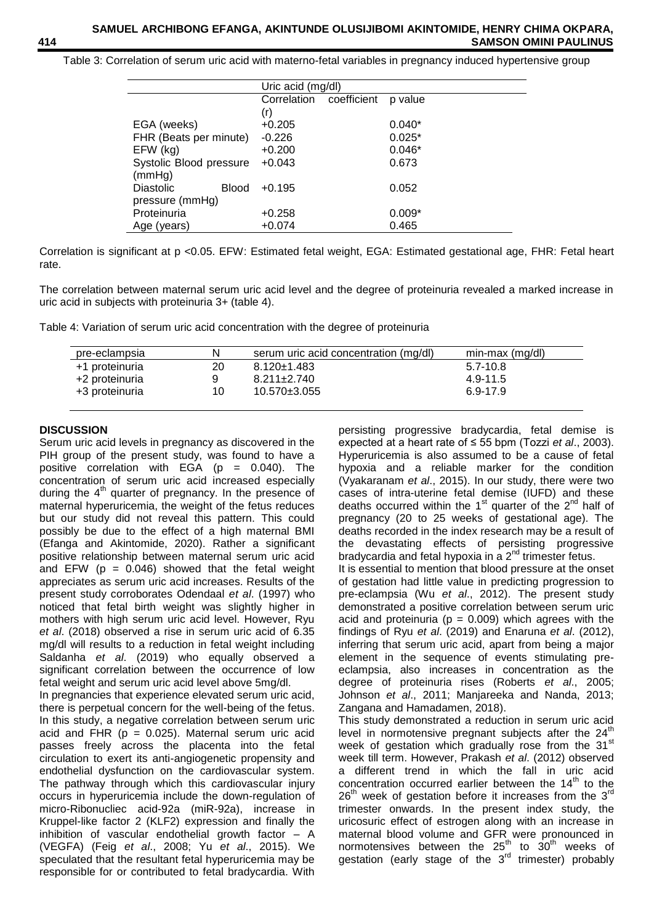Table 3: Correlation of serum uric acid with materno-fetal variables in pregnancy induced hypertensive group

|                         |              | Uric acid (mg/dl) |             |          |  |
|-------------------------|--------------|-------------------|-------------|----------|--|
|                         |              | Correlation       | coefficient | p value  |  |
|                         |              | (r)               |             |          |  |
| EGA (weeks)             |              | $+0.205$          |             | $0.040*$ |  |
| FHR (Beats per minute)  |              | $-0.226$          |             | $0.025*$ |  |
| $EFW$ (kg)              |              | $+0.200$          |             | $0.046*$ |  |
| Systolic Blood pressure |              | $+0.043$          |             | 0.673    |  |
| (mmHg)                  |              |                   |             |          |  |
| <b>Diastolic</b>        | <b>Blood</b> | $+0.195$          |             | 0.052    |  |
| pressure (mmHg)         |              |                   |             |          |  |
| Proteinuria             |              | $+0.258$          |             | $0.009*$ |  |
| Age (years)             |              | $+0.074$          |             | 0.465    |  |
|                         |              |                   |             |          |  |

Correlation is significant at p <0.05. EFW: Estimated fetal weight, EGA: Estimated gestational age, FHR: Fetal heart rate.

The correlation between maternal serum uric acid level and the degree of proteinuria revealed a marked increase in uric acid in subjects with proteinuria 3+ (table 4).

Table 4: Variation of serum uric acid concentration with the degree of proteinuria

| pre-eclampsia  | N  | serum uric acid concentration (mg/dl) | $min-max (mg/dl)$ |
|----------------|----|---------------------------------------|-------------------|
| +1 proteinuria | 20 | $8.120 \pm 1.483$                     | 5.7-10.8          |
| +2 proteinuria |    | $8.211 \pm 2.740$                     | 4.9-11.5          |
| +3 proteinuria | 10 | 10.570±3.055                          | 6.9-17.9          |
|                |    |                                       |                   |

# **DISCUSSION**

Serum uric acid levels in pregnancy as discovered in the PIH group of the present study, was found to have a positive correlation with EGA ( $p = 0.040$ ). The concentration of serum uric acid increased especially during the 4<sup>th</sup> quarter of pregnancy. In the presence of maternal hyperuricemia, the weight of the fetus reduces but our study did not reveal this pattern. This could possibly be due to the effect of a high maternal BMI (Efanga and Akintomide, 2020). Rather a significant positive relationship between maternal serum uric acid and EFW ( $p = 0.046$ ) showed that the fetal weight appreciates as serum uric acid increases. Results of the present study corroborates Odendaal *et al*. (1997) who noticed that fetal birth weight was slightly higher in mothers with high serum uric acid level. However, Ryu *et al*. (2018) observed a rise in serum uric acid of 6.35 mg/dl will results to a reduction in fetal weight including Saldanha *et al*. (2019) who equally observed a significant correlation between the occurrence of low fetal weight and serum uric acid level above 5mg/dl. In pregnancies that experience elevated serum uric acid, there is perpetual concern for the well-being of the fetus. In this study, a negative correlation between serum uric acid and FHR ( $p = 0.025$ ). Maternal serum uric acid passes freely across the placenta into the fetal circulation to exert its anti-angiogenetic propensity and endothelial dysfunction on the cardiovascular system. The pathway through which this cardiovascular injury occurs in hyperuricemia include the down-regulation of micro-Ribonucliec acid-92a (miR-92a), increase in

Kruppel-like factor 2 (KLF2) expression and finally the inhibition of vascular endothelial growth factor – A (VEGFA) (Feig *et al*., 2008; Yu *et al*., 2015). We speculated that the resultant fetal hyperuricemia may be responsible for or contributed to fetal bradycardia. With persisting progressive bradycardia, fetal demise is expected at a heart rate of ≤ 55 bpm (Tozzi *et al*., 2003). Hyperuricemia is also assumed to be a cause of fetal hypoxia and a reliable marker for the condition (Vyakaranam *et al*., 2015). In our study, there were two cases of intra-uterine fetal demise (IUFD) and these deaths occurred within the  $1<sup>st</sup>$  quarter of the  $2<sup>nd</sup>$  half of pregnancy (20 to 25 weeks of gestational age). The deaths recorded in the index research may be a result of the devastating effects of persisting progressive bradycardia and fetal hypoxia in a  $2<sup>nd</sup>$  trimester fetus. It is essential to mention that blood pressure at the onset of gestation had little value in predicting progression to pre-eclampsia (Wu *et al*., 2012). The present study demonstrated a positive correlation between serum uric acid and proteinuria ( $p = 0.009$ ) which agrees with the findings of Ryu *et al*. (2019) and Enaruna *et al*. (2012), inferring that serum uric acid, apart from being a major element in the sequence of events stimulating preeclampsia, also increases in concentration as the degree of proteinuria rises (Roberts *et al*., 2005; Johnson *et al*., 2011; Manjareeka and Nanda, 2013; Zangana and Hamadamen, 2018). This study demonstrated a reduction in serum uric acid

level in normotensive pregnant subjects after the  $24<sup>th</sup>$ week of gestation which gradually rose from the  $31<sup>st</sup>$ week till term. However, Prakash *et al*. (2012) observed a different trend in which the fall in uric acid concentration occurred earlier between the  $14<sup>th</sup>$  to the  $26<sup>th</sup>$  week of gestation before it increases from the  $3<sup>rd</sup>$ trimester onwards. In the present index study, the uricosuric effect of estrogen along with an increase in maternal blood volume and GFR were pronounced in normotensives between the  $25<sup>th</sup>$  to  $30<sup>th</sup>$  weeks of gestation (early stage of the 3<sup>rd</sup> trimester) probably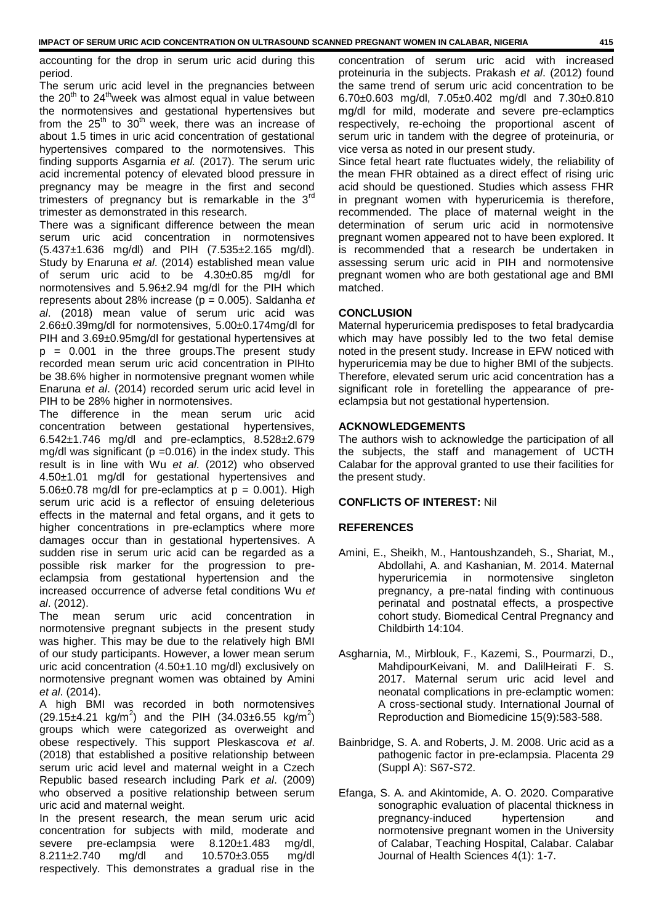accounting for the drop in serum uric acid during this period.

The serum uric acid level in the pregnancies between the  $20<sup>th</sup>$  to  $24<sup>th</sup>$  week was almost equal in value between the normotensives and gestational hypertensives but from the  $25<sup>th</sup>$  to  $30<sup>th</sup>$  week, there was an increase of about 1.5 times in uric acid concentration of gestational hypertensives compared to the normotensives. This finding supports Asgarnia *et al.* (2017). The serum uric acid incremental potency of elevated blood pressure in pregnancy may be meagre in the first and second trimesters of pregnancy but is remarkable in the  $3^{rd}$ trimester as demonstrated in this research.

There was a significant difference between the mean serum uric acid concentration in normotensives (5.437±1.636 mg/dl) and PIH (7.535±2.165 mg/dl). Study by Enaruna *et al*. (2014) established mean value of serum uric acid to be 4.30±0.85 mg/dl for normotensives and 5.96±2.94 mg/dl for the PIH which represents about 28% increase (p = 0.005). Saldanha *et al*. (2018) mean value of serum uric acid was 2.66±0.39mg/dl for normotensives, 5.00±0.174mg/dl for PIH and 3.69±0.95mg/dl for gestational hypertensives at  $p = 0.001$  in the three groups. The present study recorded mean serum uric acid concentration in PIHto be 38.6% higher in normotensive pregnant women while Enaruna *et al*. (2014) recorded serum uric acid level in PIH to be 28% higher in normotensives.

The difference in the mean serum uric acid concentration between gestational hypertensives, 6.542±1.746 mg/dl and pre-eclamptics, 8.528±2.679 mg/dl was significant ( $p = 0.016$ ) in the index study. This result is in line with Wu *et al*. (2012) who observed 4.50±1.01 mg/dl for gestational hypertensives and 5.06 $\pm$ 0.78 mg/dl for pre-eclamptics at  $p = 0.001$ ). High serum uric acid is a reflector of ensuing deleterious effects in the maternal and fetal organs, and it gets to higher concentrations in pre-eclamptics where more damages occur than in gestational hypertensives. A sudden rise in serum uric acid can be regarded as a possible risk marker for the progression to preeclampsia from gestational hypertension and the increased occurrence of adverse fetal conditions Wu *et al*. (2012).

The mean serum uric acid concentration in normotensive pregnant subjects in the present study was higher. This may be due to the relatively high BMI of our study participants. However, a lower mean serum uric acid concentration (4.50±1.10 mg/dl) exclusively on normotensive pregnant women was obtained by Amini *et al*. (2014).

A high BMI was recorded in both normotensives  $(29.15 \pm 4.21 \text{ kg/m}^2)$  and the PIH  $(34.03 \pm 6.55 \text{ kg/m}^2)$ groups which were categorized as overweight and obese respectively. This support Pleskascova *et al*. (2018) that established a positive relationship between serum uric acid level and maternal weight in a Czech Republic based research including Park *et al*. (2009) who observed a positive relationship between serum uric acid and maternal weight.

In the present research, the mean serum uric acid concentration for subjects with mild, moderate and severe pre-eclampsia were 8.120±1.483 mg/dl, 8.211±2.740 mg/dl and 10.570±3.055 mg/dl respectively. This demonstrates a gradual rise in the concentration of serum uric acid with increased proteinuria in the subjects. Prakash *et al*. (2012) found the same trend of serum uric acid concentration to be 6.70±0.603 mg/dl, 7.05±0.402 mg/dl and 7.30±0.810 mg/dl for mild, moderate and severe pre-eclamptics respectively, re-echoing the proportional ascent of serum uric in tandem with the degree of proteinuria, or vice versa as noted in our present study.

Since fetal heart rate fluctuates widely, the reliability of the mean FHR obtained as a direct effect of rising uric acid should be questioned. Studies which assess FHR in pregnant women with hyperuricemia is therefore, recommended. The place of maternal weight in the determination of serum uric acid in normotensive pregnant women appeared not to have been explored. It is recommended that a research be undertaken in assessing serum uric acid in PIH and normotensive pregnant women who are both gestational age and BMI matched.

## **CONCLUSION**

Maternal hyperuricemia predisposes to fetal bradycardia which may have possibly led to the two fetal demise noted in the present study. Increase in EFW noticed with hyperuricemia may be due to higher BMI of the subjects. Therefore, elevated serum uric acid concentration has a significant role in foretelling the appearance of preeclampsia but not gestational hypertension.

### **ACKNOWLEDGEMENTS**

The authors wish to acknowledge the participation of all the subjects, the staff and management of UCTH Calabar for the approval granted to use their facilities for the present study.

#### **CONFLICTS OF INTEREST:** Nil

## **REFERENCES**

- Amini, E., Sheikh, M., Hantoushzandeh, S., Shariat, M., Abdollahi, A. and Kashanian, M. 2014. Maternal hyperuricemia in normotensive singleton pregnancy, a pre-natal finding with continuous perinatal and postnatal effects, a prospective cohort study. Biomedical Central Pregnancy and Childbirth 14:104.
- Asgharnia, M., Mirblouk, F., Kazemi, S., Pourmarzi, D., MahdipourKeivani, M. and DalilHeirati F. S. 2017. Maternal serum uric acid level and neonatal complications in pre-eclamptic women: A cross-sectional study. International Journal of Reproduction and Biomedicine 15(9):583-588.
- Bainbridge, S. A. and Roberts, J. M. 2008. Uric acid as a pathogenic factor in pre-eclampsia. Placenta 29 (Suppl A): S67-S72.
- Efanga, S. A. and Akintomide, A. O. 2020. Comparative sonographic evaluation of placental thickness in pregnancy-induced hypertension and normotensive pregnant women in the University of Calabar, Teaching Hospital, Calabar. Calabar Journal of Health Sciences 4(1): 1-7.